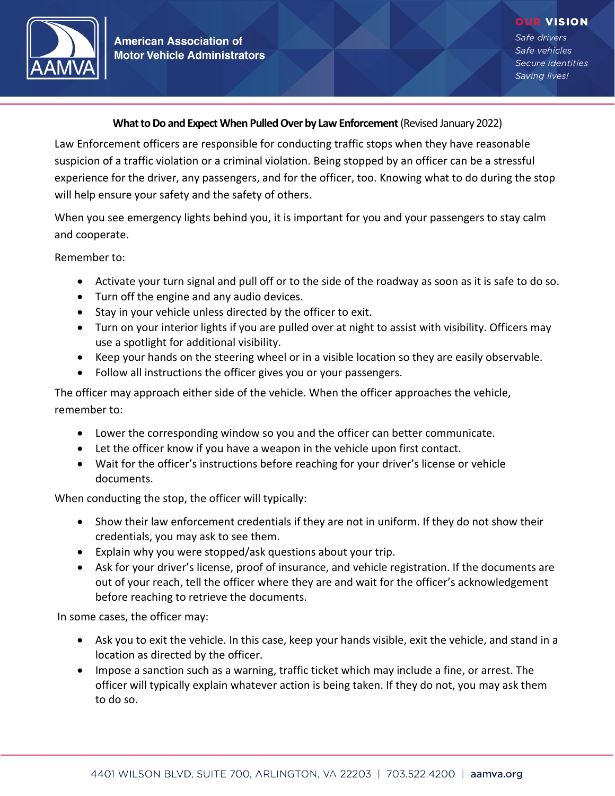

## **What to Do and Expect When Pulled Over by Law Enforcement**(Revised January 2022)

Law Enforcement officers are responsible for conducting traffic stops when they have reasonable suspicion of a traffic violation or a criminal violation. Being stopped by an officer can be a stressful experience for the driver, any passengers, and for the officer, too. Knowing what to do during the stop will help ensure your safety and the safety of others.

When you see emergency lights behind you, it is important for you and your passengers to stay calm and cooperate.

Remember to:

- Activate your turn signal and pull off or to the side of the roadway as soon as it is safe to do so.
- Turn off the engine and any audio devices.
- Stay in your vehicle unless directed by the officer to exit.
- Turn on your interior lights if you are pulled over at night to assist with visibility. Officers may use a spotlight for additional visibility.
- Keep your hands on the steering wheel or in a visible location so they are easily observable.
- Follow all instructions the officer gives you or your passengers.

The officer may approach either side of the vehicle. When the officer approaches the vehicle, remember to:

- Lower the corresponding window so you and the officer can better communicate.
- Let the officer know if you have a weapon in the vehicle upon first contact.
- Wait for the officer's instructions before reaching for your driver's license or vehicle documents.

When conducting the stop, the officer will typically:

- Show their law enforcement credentials if they are not in uniform. If they do not show their credentials, you may ask to see them.
- Explain why you were stopped/ask questions about your trip.
- Ask for your driver's license, proof of insurance, and vehicle registration. If the documents are out of your reach, tell the officer where they are and wait for the officer's acknowledgement before reaching to retrieve the documents.

In some cases, the officer may:

- Ask you to exit the vehicle. In this case, keep your hands visible, exit the vehicle, and stand in a location as directed by the officer.
- Impose a sanction such as a warning, traffic ticket which may include a fine, or arrest. The officer will typically explain whatever action is being taken. If they do not, you may ask them to do so.